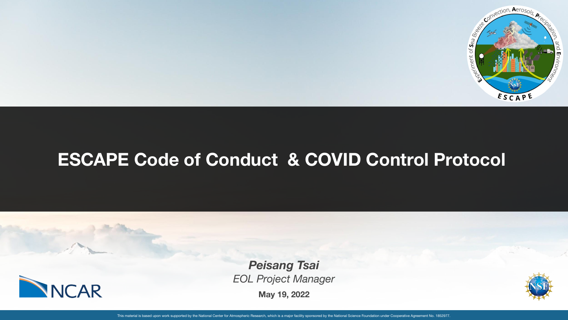

## **ESCAPE Code of Conduct & COVID Control Protocol**



**May 19, 2022** *Peisang Tsai EOL Project Manager*



This material is based upon work supported by the National Center for Atmospheric Research, which is a major facility sponsored by the National Science Foundation under Cooperative Agreement No. 1852977.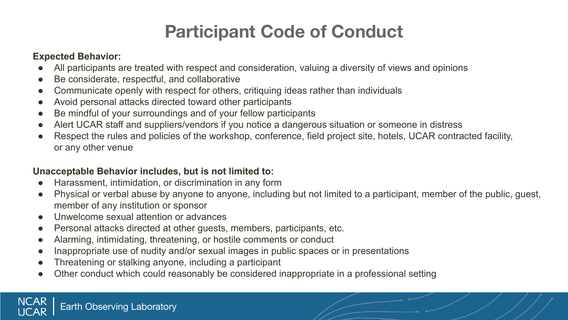# **Participant Code of Conduct**

#### **Expected Behavior:**

- All participants are treated with respect and consideration, valuing a diversity of views and opinions
- Be considerate, respectful, and collaborative
- Communicate openly with respect for others, critiquing ideas rather than individuals
- Avoid personal attacks directed toward other participants
- Be mindful of your surroundings and of your fellow participants
- Alert UCAR staff and suppliers/vendors if you notice a dangerous situation or someone in distress
- Respect the rules and policies of the workshop, conference, field project site, hotels, UCAR contracted facility, or any other venue

### **Unacceptable Behavior includes, but is not limited to:**

- Harassment, intimidation, or discrimination in any form
- Physical or verbal abuse by anyone to anyone, including but not limited to a participant, member of the public, guest, member of any institution or sponsor
- Unwelcome sexual attention or advances
- Personal attacks directed at other guests, members, participants, etc.
- Alarming, intimidating, threatening, or hostile comments or conduct
- Inappropriate use of nudity and/or sexual images in public spaces or in presentations
- Threatening or stalking anyone, including a participant
- Other conduct which could reasonably be considered inappropriate in a professional setting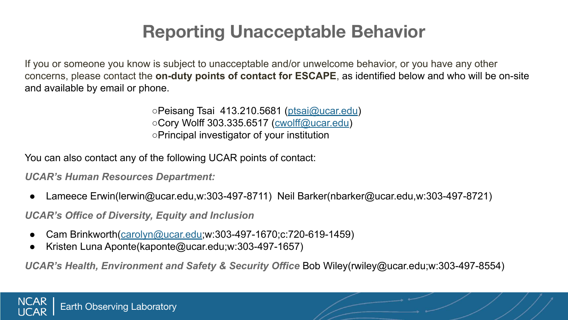# **Reporting Unacceptable Behavior**

If you or someone you know is subject to unacceptable and/or unwelcome behavior, or you have any other concerns, please contact the **on-duty points of contact for ESCAPE**, as identified below and who will be on-site and available by email or phone.

> ○Peisang Tsai 413.210.5681 (ptsai@ucar.edu) ○Cory Wolff 303.335.6517 (cwolff@ucar.edu) ○Principal investigator of your institution

You can also contact any of the following UCAR points of contact:

*UCAR's Human Resources Department:*

Lameece Erwin(lerwin@ucar.edu,w:303-497-8711) Neil Barker(nbarker@ucar.edu,w:303-497-8721)

*UCAR's Office of Diversity, Equity and Inclusion*

- Cam Brinkworth(carolyn@ucar.edu;w:303-497-1670;c:720-619-1459)
- Kristen Luna Aponte(kaponte@ucar.edu;w:303-497-1657)

*UCAR's Health, Environment and Safety & Security Office* Bob Wiley(rwiley@ucar.edu;w:303-497-8554)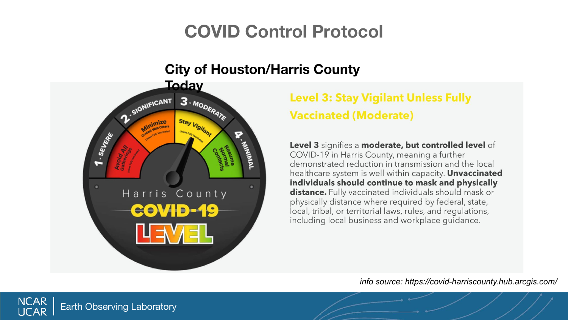### **City of Houston/Harris County**



Earth Observing Laboratory

**NCAR UCAR** 

## **Level 3: Stay Vigilant Unless Fully Vaccinated (Moderate)**

Level 3 signifies a moderate, but controlled level of COVID-19 in Harris County, meaning a further demonstrated reduction in transmission and the local healthcare system is well within capacity. Unvaccinated individuals should continue to mask and physically distance. Fully vaccinated individuals should mask or physically distance where required by federal, state, local, tribal, or territorial laws, rules, and regulations, including local business and workplace guidance.

*info source: https://covid-harriscounty.hub.arcgis.com/*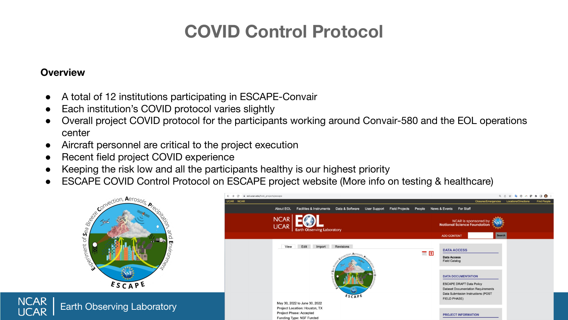#### **Overview**

**NCAR** 

- A total of 12 institutions participating in ESCAPE-Convair
- Each institution's COVID protocol varies slightly
- Overall project COVID protocol for the participants working around Convair-580 and the EOL operations center
- Aircraft personnel are critical to the project execution
- Recent field project COVID experience
- Keeping the risk low and all the participants healthy is our highest priority
- ESCAPE COVID Control Protocol on ESCAPE project website (More info on testing & healthcare)



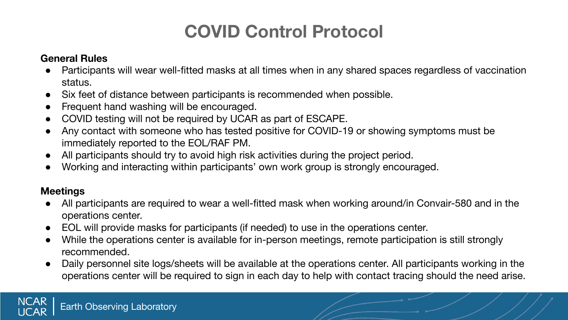### **General Rules**

- Participants will wear well-fitted masks at all times when in any shared spaces regardless of vaccination status.
- Six feet of distance between participants is recommended when possible.
- Frequent hand washing will be encouraged.
- COVID testing will not be required by UCAR as part of ESCAPE.
- Any contact with someone who has tested positive for COVID-19 or showing symptoms must be immediately reported to the EOL/RAF PM.
- All participants should try to avoid high risk activities during the project period.
- Working and interacting within participants' own work group is strongly encouraged.

### **Meetings**

**NCAR JCAR** 

- All participants are required to wear a well-fitted mask when working around/in Convair-580 and in the operations center.
- EOL will provide masks for participants (if needed) to use in the operations center.
- While the operations center is available for in-person meetings, remote participation is still strongly recommended.
- Daily personnel site logs/sheets will be available at the operations center. All participants working in the operations center will be required to sign in each day to help with contact tracing should the need arise.